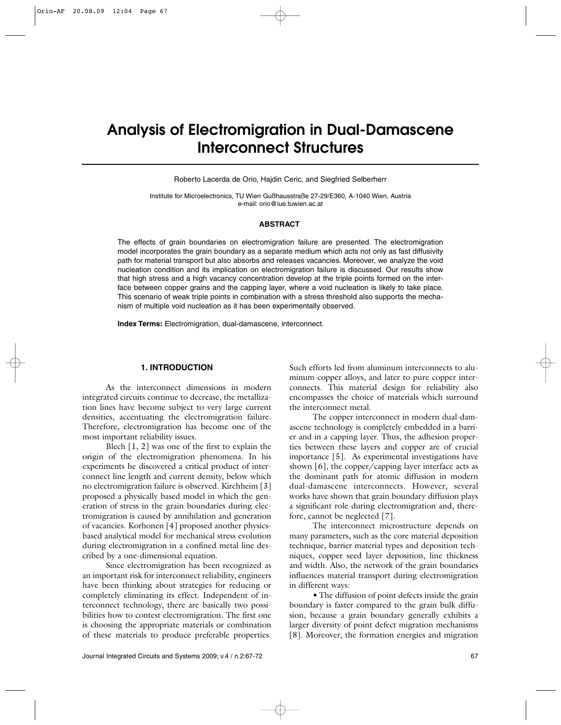# **Analysis of Electromigration in Dual-Damascene Interconnect Structures**

Roberto Lacerda de Orio, Hajdin Ceric, and Siegfried Selberherr

Institute for Microelectronics, TU Wien Gußhausstraße 27-29/E360, A-1040 Wien, Austria e-mail: orio@iue.tuwien.ac.at

#### **ABSTRACT**

The effects of grain boundaries on electromigration failure are presented. The electromigration model incorporates the grain boundary as a separate medium which acts not only as fast diffusivity path for material transport but also absorbs and releases vacancies. Moreover, we analyze the void nucleation condition and its implication on electromigration failure is discussed. Our results show that high stress and a high vacancy concentration develop at the triple points formed on the interface between copper grains and the capping layer, where a void nucleation is likely to take place. This scenario of weak triple points in combination with a stress threshold also supports the mechanism of multiple void nucleation as it has been experimentally observed.

**Index Terms:** Electromigration, dual-damascene, interconnect.

# **1. INTRODUCTION**

As the interconnect dimensions in modern integrated circuits continue to decrease, the metallization lines have become subject to very large current densities, accentuating the electromigration failure. Therefore, electromigration has become one of the most important reliability issues.

Blech  $[1, 2]$  was one of the first to explain the origin of the electromigration phenomena. In his experiments he discovered a critical product of interconnect line length and current density, below which no electromigration failure is observed. Kirchheim [3] proposed a physically based model in which the generation of stress in the grain boundaries during electromigration is caused by annihilation and generation of vacancies. Korhonen [4] proposed another physicsbased analytical model for mechanical stress evolution during electromigration in a confined metal line described by a one-dimensional equation.

Since electromigration has been recognized as an important risk for interconnect reliability, engineers have been thinking about strategies for reducing or completely eliminating its effect. Independent of interconnect technology, there are basically two possibilities how to contest electromigration. The first one is choosing the appropriate materials or combination of these materials to produce preferable properties.

Such efforts led from aluminum interconnects to aluminum-copper alloys, and later to pure copper interconnects. This material design for reliability also encompasses the choice of materials which surround the interconnect metal.

The copper interconnect in modern dual-damascene technology is completely embedded in a barrier and in a capping layer. Thus, the adhesion properties between these layers and copper are of crucial importance [5]. As experimental investigations have shown [6], the copper/capping layer interface acts as the dominant path for atomic diffusion in modern dual-damascene interconnects. However, several works have shown that grain boundary diffusion plays a significant role during electromigration and, therefore, cannot be neglected [7].

The interconnect microstructure depends on many parameters, such as the core material deposition technique, barrier material types and deposition techniques, copper seed layer deposition, line thickness and width. Also, the network of the grain boundaries influences material transport during electromigration in different ways:

•The diffusion of point defects inside the grain boundary is faster compared to the grain bulk diffusion, because a grain boundary generally exhibits a larger diversity of point defect migration mechanisms [8]. Moreover, the formation energies and migration

Journal Integrated Circuits and Systems 2009; v.4 / n.2:67-72 67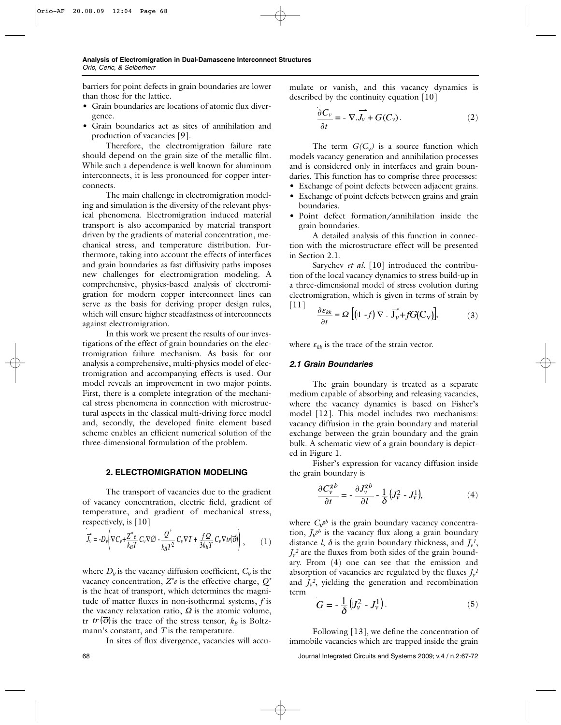barriers for point defects in grain boundaries are lower than those for the lattice.

- Grain boundaries are locations of atomic flux divergence.
- Grain boundaries act as sites of annihilation and production of vacancies [9].

Therefore, the electromigration failure rate should depend on the grain size of the metallic film. While such a dependence is well known for aluminum interconnects, it is less pronounced for copper interconnects.

The main challenge in electromigration modeling and simulation is the diversity of the relevant physical phenomena. Electromigration induced material transport is also accompanied by material transport driven by the gradients of material concentration, mechanical stress, and temperature distribution. Furthermore, taking into account the effects of interfaces and grain boundaries as fast diffusivity paths imposes new challenges for electromigration modeling. A comprehensive, physics-based analysis of electromigration for modern copper interconnect lines can serve as the basis for deriving proper design rules, which will ensure higher steadfastness of interconnects against electromigration.

In this work we present the results of our investigations of the effect of grain boundaries on the electromigration failure mechanism. As basis for our analysis a comprehensive, multi-physics model of electromigration and accompanying effects is used. Our model reveals an improvement in two major points. First, there is a complete integration of the mechanical stress phenomena in connection with microstructural aspects in the classical multi-driving force model and, secondly, the developed finite element based scheme enables an efficient numerical solution of the three-dimensional formulation of the problem.

### **2. ELECTROMIGRATION MODELING**

The transport of vacancies due to the gradient of vacancy concentration, electric field, gradient of temperature, and gradient of mechanical stress, respectively, is [10]

$$
\vec{J}_v = -D_v \left( \nabla C_v + \frac{Z^* e}{k_B T} C_v \nabla \varnothing - \frac{Q^*}{k_B T^2} C_v \nabla T + \frac{f \Omega}{3 k_B T} C_v \nabla t r(\vec{\sigma}) \right) ,\qquad (1)
$$

where  $D_v$  is the vacancy diffusion coefficient,  $C_v$  is the vacancy concentration, *Z\*e* is the effective charge, *Q\** is the heat of transport, which determines the magnitude of matter fluxes in non-isothermal systems, *f* is the vacancy relaxation ratio,  $\Omega$  is the atomic volume,  $tr \left( \vec{\sigma} \right)$  is the trace of the stress tensor,  $k_B$  is Boltzmann's constant, and *T* is the temperature.

In sites of flux divergence, vacancies will accu-

mulate or vanish, and this vacancy dynamics is described by the continuity equation [10]

$$
\frac{\partial C_v}{\partial t} = -\nabla \cdot \overrightarrow{J_v} + G(C_v). \tag{2}
$$

The term  $G(C_v)$  is a source function which models vacancy generation and annihilation processes and is considered only in interfaces and grain boundaries. This function has to comprise three processes:

- Exchange of point defects between adjacent grains.
- Exchange of point defects between grains and grain boundaries.
- Point defect formation/annihilation inside the grain boundaries.

A detailed analysis of this function in connection with the microstructure effect will be presented in Section 2.1.

Sarychev *et al.* [10] introduced the contribution of the local vacancy dynamics to stress build-up in a three-dimensional model of stress evolution during electromigration, which is given in terms of strain by [11]

$$
\frac{\partial \varepsilon_{kk}}{\partial t} = \Omega \left[ \left( 1 - f \right) \nabla \cdot \overrightarrow{\mathbf{J}_v} + f G(C_v) \right],\tag{3}
$$

where  $\varepsilon_{kk}$  is the trace of the strain vector.

# *2.1 Grain Boundaries*

The grain boundary is treated as a separate medium capable of absorbing and releasing vacancies, where the vacancy dynamics is based on Fisher's model [12]. This model includes two mechanisms: vacancy diffusion in the grain boundary and material exchange between the grain boundary and the grain bulk. A schematic view of a grain boundary is depicted in Figure 1.

Fisher's expression for vacancy diffusion inside the grain boundary is

$$
\frac{\partial C_v^{gb}}{\partial t} = -\frac{\partial J_v^{gb}}{\partial l} - \frac{1}{\delta} \left( J_v^2 - J_v^1 \right),\tag{4}
$$

where  $C_{\mathbf{v}}^{gb}$  is the grain boundary vacancy concentration,  $J_{\mathbf{v}}^{\beta b}$  is the vacancy flux along a grain boundary distance *l*,  $\delta$  is the grain boundary thickness, and  $J_{\nu}^{\{1\}}$ ,  $J_{\nu}^2$  are the fluxes from both sides of the grain boundary. From (4) one can see that the emission and absorption of vacancies are regulated by the fluxes  $J_{\nu}{}^{I}$ and  $J_v^2$ , yielding the generation and recombination term

$$
G = -\frac{1}{\delta} \left( J_{\nu}^2 - J_{\nu}^1 \right). \tag{5}
$$

Following [13], we define the concentration of immobile vacancies which are trapped inside the grain

68 Journal Integrated Circuits and Systems 2009; v.4 / n.2:67-72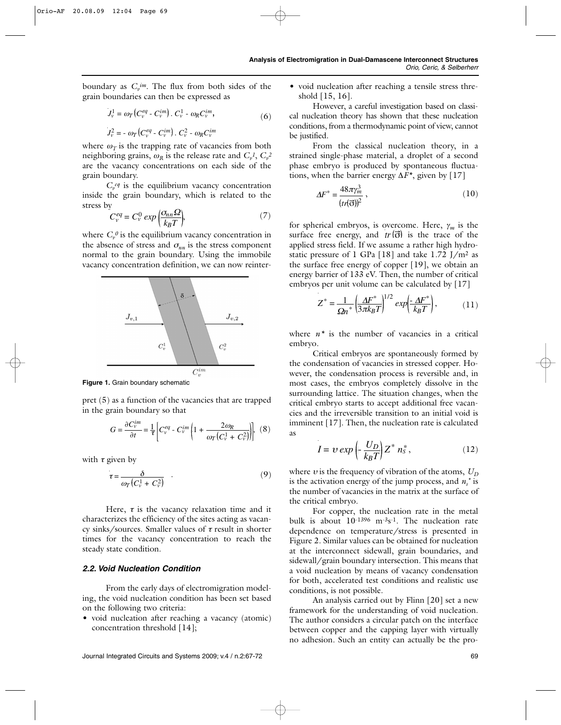boundary as  $C_v^{im}$ . The flux from both sides of the grain boundaries can then be expressed as

$$
J_v^1 = \omega_T \left( C_v^{eq} - C_v^{im} \right) \cdot C_v^1 - \omega_R C_v^{im},\tag{6}
$$

$$
J_v^2 = -\omega_T \left( C_v^{eq} - C_v^{im} \right) \cdot C_v^2 - \omega_R C_v^{im}
$$

where  $\omega_T$  is the trapping rate of vacancies from both neighboring grains,  $\omega_R$  is the release rate and  $C_v^l$ ,  $C_v^2$ are the vacancy concentrations on each side of the grain boundary.

 $C_{\nu}^{eq}$  is the equilibrium vacancy concentration inside the grain boundary, which is related to the stress by

$$
C_v^{eq} = C_v^0 \exp\left(\frac{\sigma_{nn}\Omega}{k_B T}\right),\tag{7}
$$

where  $C_v^0$  is the equilibrium vacancy concentration in the absence of stress and  $\sigma_{nn}$  is the stress component normal to the grain boundary. Using the immobile vacancy concentration definition, we can now reinter-



**Figure 1.** Grain boundary schematic

pret (5) as a function of the vacancies that are trapped in the grain boundary so that

$$
G = \frac{\partial C_v^{im}}{\partial t} = \frac{1}{\tau} \left[ C_v^{eq} - C_v^{im} \left( 1 + \frac{2\omega_R}{\omega_T (C_v^1 + C_v^2)} \right) \right], \tag{8}
$$

with  $\tau$  given by

$$
\tau = \frac{\delta}{\omega_T (C_v^1 + C_v^2)} \tag{9}
$$

Here,  $\tau$  is the vacancy relaxation time and it characterizes the efficiency of the sites acting as vacancy sinks/sources. Smaller values of  $\tau$  result in shorter times for the vacancy concentration to reach the steady state condition.

#### *2.2. Void Nucleation Condition*

From the early days of electromigration modeling, the void nucleation condition has been set based on the following two criteria:

• void nucleation after reaching a vacancy (atomic) concentration threshold [14];

• void nucleation after reaching a tensile stress threshold [15, 16].

However, a careful investigation based on classical nucleation theory has shown that these nucleation conditions, from a thermodynamic point of view, cannot be justified.

From the classical nucleation theory, in a strained single-phase material, a droplet of a second phase embryo is produced by spontaneous fluctuations, when the barrier energy ∆*F\**, given by [17]

$$
\Delta F^* = \frac{48\pi\gamma_m^3}{(tr(\vec{\sigma}))^2} \,,\tag{10}
$$

for spherical embryos, is overcome. Here, <sup>γ</sup>*<sup>m</sup>* is the surface free energy, and  $tr(\vec{\sigma})$  is the trace of the applied stress field. If we assume a rather high hydrostatic pressure of 1 GPa [18] and take  $1.72$  J/m<sup>2</sup> as the surface free energy of copper [19], we obtain an energy barrier of 133 eV. Then, the number of critical embryos per unit volume can be calculated by [17]

 $1/2/2$ 

$$
Z^* = \frac{1}{\Omega n^*} \left( \frac{\Delta F^*}{3\pi k_B T} \right)^{1/2} \exp\left(\frac{\Delta F^*}{k_B T}\right),\tag{11}
$$

where  $n^*$  is the number of vacancies in a critical embryo.

Critical embryos are spontaneously formed by the condensation of vacancies in stressed copper. However, the condensation process is reversible and, in most cases, the embryos completely dissolve in the surrounding lattice. The situation changes, when the critical embryo starts to accept additional free vacancies and the irreversible transition to an initial void is imminent [17]. Then, the nucleation rate is calculated as

$$
I = v \exp\left(-\frac{U_D}{k_B T}\right) Z^* n_s^*,\tag{12}
$$

where  $v$  is the frequency of vibration of the atoms,  $U_D$ is the activation energy of the jump process, and  $n<sub>s</sub>$ <sup>\*</sup> is the number of vacancies in the matrix at the surface of the critical embryo.

For copper, the nucleation rate in the metal bulk is about 10-1396 m-3s-1. The nucleation rate dependence on temperature/stress is presented in Figure 2. Similar values can be obtained for nucleation at the interconnect sidewall, grain boundaries, and sidewall/grain boundary intersection. This means that a void nucleation by means of vacancy condensation for both, accelerated test conditions and realistic use conditions, is not possible.

An analysis carried out by Flinn [20] set a new framework for the understanding of void nucleation. The author considers a circular patch on the interface between copper and the capping layer with virtually no adhesion. Such an entity can actually be the pro-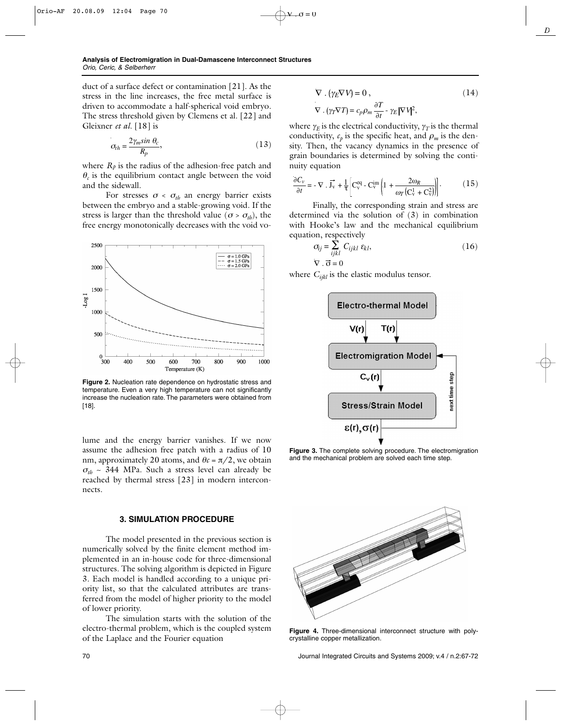duct of a surface defect or contamination [21]. As the stress in the line increases, the free metal surface is driven to accommodate a half-spherical void embryo. The stress threshold given by Clemens et al. [22] and Gleixner *et al.* [18] is

$$
\sigma_{th} = \frac{2\gamma_m \sin \theta_c}{R_p},\tag{13}
$$

where  $R_p$  is the radius of the adhesion-free patch and  $\theta_c$  is the equilibrium contact angle between the void and the sidewall.

For stresses  $\sigma < \sigma_{th}$  an energy barrier exists between the embryo and a stable-growing void. If the stress is larger than the threshold value ( $\sigma > \sigma_{th}$ ), the free energy monotonically decreases with the void vo-



**Figure 2.** Nucleation rate dependence on hydrostatic stress and temperature. Even a very high temperature can not significantly increase the nucleation rate. The parameters were obtained from [18].

lume and the energy barrier vanishes. If we now assume the adhesion free patch with a radius of 10 nm, approximately 20 atoms, and  $\theta \epsilon = \pi/2$ , we obtain  $\sigma_{th}$  ~ 344 MPa. Such a stress level can already be reached by thermal stress [23] in modern interconnects.

#### **3. SIMULATION PROCEDURE**

The model presented in the previous section is numerically solved by the finite element method implemented in an in-house code for three-dimensional structures. The solving algorithm is depicted in Figure 3. Each model is handled according to a unique priority list, so that the calculated attributes are transferred from the model of higher priority to the model of lower priority.

The simulation starts with the solution of the electro-thermal problem, which is the coupled system of the Laplace and the Fourier equation

$$
\nabla \cdot (\gamma_E \nabla V) = 0, \qquad (14)
$$
  

$$
\nabla \cdot (\gamma_T \nabla T) = c_p \rho_m \frac{\partial T}{\partial t} - \gamma_E |\nabla V|^2,
$$

*D*

where  $\gamma_E$  is the electrical conductivity,  $\gamma_T$  is the thermal conductivity,  $c_p$  is the specific heat, and  $\rho_m$  is the density. Then, the vacancy dynamics in the presence of grain boundaries is determined by solving the continuity equation

 $\angle 0 = 0$ 

$$
\frac{\partial C_{\nu}}{\partial t} = -\nabla \cdot \vec{J}_{\nu} + \frac{1}{\tau} \left[ C_{\nu}^{eq} - C_{\nu}^{im} \left( 1 + \frac{2\omega_R}{\omega_T \left( C_{\nu}^1 + C_{\nu}^2 \right)} \right) \right].
$$
 (15)

Finally, the corresponding strain and stress are determined via the solution of (3) in combination with Hooke's law and the mechanical equilibrium equation, respectively

$$
\sigma_{ij} = \sum_{ijkl} C_{ijkl} \varepsilon_{kl},
$$
\n
$$
\nabla \cdot \vec{\sigma} = 0
$$
\n(16)

where *C<sub>ijkl</sub>* is the elastic modulus tensor.



**Figure 3.** The complete solving procedure. The electromigration and the mechanical problem are solved each time step.



**Figure 4.** Three-dimensional interconnect structure with polycrystalline copper metallization.

70 Journal Integrated Circuits and Systems 2009; v.4 / n.2:67-72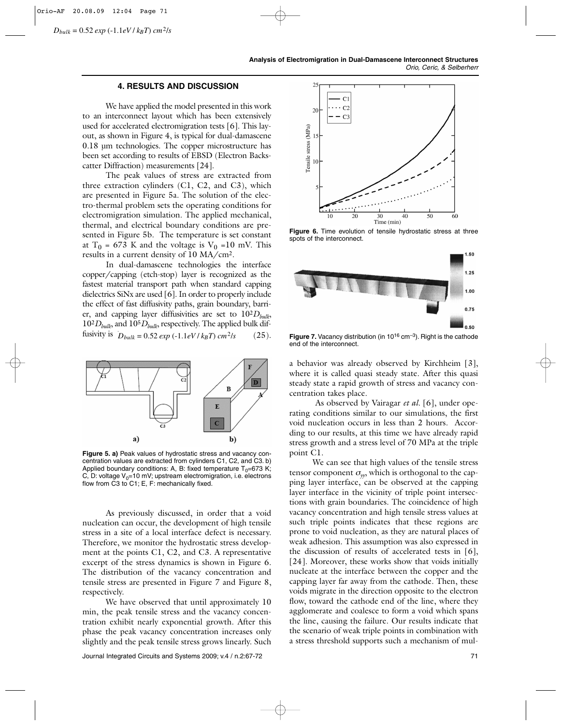$D_{bulk} = 0.52 \exp(-1.1eV/k_BT) \, cm^2/s$ 

# **4. RESULTS AND DISCUSSION**

We have applied the model presented in this work to an interconnect layout which has been extensively used for accelerated electromigration tests [6]. This layout, as shown in Figure 4, is typical for dual-damascene 0.18 µm technologies. The copper microstructure has been set according to results of EBSD (Electron Backscatter Diffraction) measurements [24].

The peak values of stress are extracted from three extraction cylinders (C1, C2, and C3), which are presented in Figure 5a. The solution of the electro-thermal problem sets the operating conditions for electromigration simulation. The applied mechanical, thermal, and electrical boundary conditions are presented in Figure 5b. The temperature is set constant at T<sub>0</sub> = 673 K and the voltage is  $V_0$  =10 mV. This results in a current density of 10 MA/cm2.

In dual-damascene technologies the interface copper/capping (etch-stop) layer is recognized as the fastest material transport path when standard capping dielectrics SiNx are used [6]. In order to properly include the effect of fast diffusivity paths, grain boundary, barrier, and capping layer diffusivities are set to  $10^{2}D_{bulk}$ , 102*Dbulk*, and 105*Dbulk*, respectively. The applied bulk diffusivity is  $D_{bulk} = 0.52 \exp(-1.1 eV / k_B T) \, cm^2/s$  $(25).$ 



**Figure 5. a)** Peak values of hydrostatic stress and vacancy concentration values are extracted from cylinders C1, C2, and C3. b) Applied boundary conditions: A, B: fixed temperature  $T_0=673$  K; C, D: voltage  $V_0$ =10 mV; upstream electromigration, i.e. electrons flow from C3 to C1; E, F: mechanically fixed.

As previously discussed, in order that a void nucleation can occur, the development of high tensile stress in a site of a local interface defect is necessary. Therefore, we monitor the hydrostatic stress development at the points C1, C2, and C3. A representative excerpt of the stress dynamics is shown in Figure 6. The distribution of the vacancy concentration and tensile stress are presented in Figure 7 and Figure 8, respectively.

We have observed that until approximately 10 min, the peak tensile stress and the vacancy concentration exhibit nearly exponential growth. After this phase the peak vacancy concentration increases only slightly and the peak tensile stress grows linearly. Such

Journal Integrated Circuits and Systems 2009; v.4 / n.2:67-72 71



**Figure 6.** Time evolution of tensile hydrostatic stress at three spots of the interconnect.



**Figure 7.** Vacancy distribution (in 10<sup>16</sup> cm<sup>-3</sup>). Right is the cathode end of the interconnect.

a behavior was already observed by Kirchheim [3], where it is called quasi steady state. After this quasi steady state a rapid growth of stress and vacancy concentration takes place.

As observed by Vairagar *et al.* [6], under operating conditions similar to our simulations, the first void nucleation occurs in less than 2 hours. According to our results, at this time we have already rapid stress growth and a stress level of 70 MPa at the triple point C1.

We can see that high values of the tensile stress tensor component  $\sigma_{\gamma\gamma}$ , which is orthogonal to the capping layer interface, can be observed at the capping layer interface in the vicinity of triple point intersections with grain boundaries. The coincidence of high vacancy concentration and high tensile stress values at such triple points indicates that these regions are prone to void nucleation, as they are natural places of weak adhesion. This assumption was also expressed in the discussion of results of accelerated tests in [6], [24]. Moreover, these works show that voids initially nucleate at the interface between the copper and the capping layer far away from the cathode. Then, these voids migrate in the direction opposite to the electron flow, toward the cathode end of the line, where they agglomerate and coalesce to form a void which spans the line, causing the failure. Our results indicate that the scenario of weak triple points in combination with a stress threshold supports such a mechanism of mul-